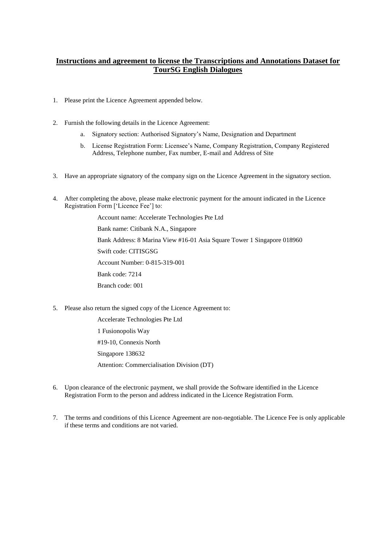# **Instructions and agreement to license the Transcriptions and Annotations Dataset for TourSG English Dialogues**

- 1. Please print the Licence Agreement appended below.
- 2. Furnish the following details in the Licence Agreement:
	- a. Signatory section: Authorised Signatory's Name, Designation and Department
	- b. License Registration Form: Licensee's Name, Company Registration, Company Registered Address, Telephone number, Fax number, E-mail and Address of Site
- 3. Have an appropriate signatory of the company sign on the Licence Agreement in the signatory section.
- 4. After completing the above, please make electronic payment for the amount indicated in the Licence Registration Form ['Licence Fee'] to:

Account name: Accelerate Technologies Pte Ltd Bank name: Citibank N.A., Singapore Bank Address: 8 Marina View #16-01 Asia Square Tower 1 Singapore 018960 Swift code: CITISGSG Account Number: 0-815-319-001 Bank code: 7214 Branch code: 001

5. Please also return the signed copy of the Licence Agreement to:

Accelerate Technologies Pte Ltd 1 Fusionopolis Way #19-10, Connexis North Singapore 138632 Attention: Commercialisation Division (DT)

- 6. Upon clearance of the electronic payment, we shall provide the Software identified in the Licence Registration Form to the person and address indicated in the Licence Registration Form.
- 7. The terms and conditions of this Licence Agreement are non-negotiable. The Licence Fee is only applicable if these terms and conditions are not varied.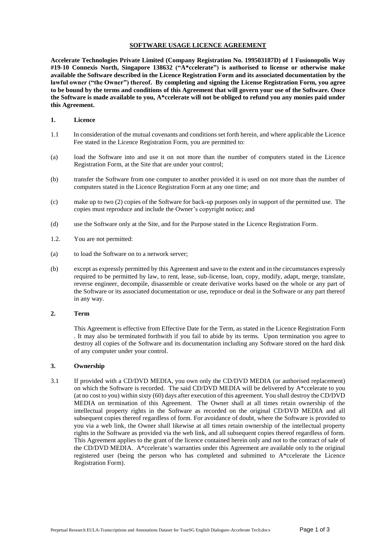#### **SOFTWARE USAGE LICENCE AGREEMENT**

**Accelerate Technologies Private Limited (Company Registration No. 199503187D) of 1 Fusionopolis Way #19-10 Connexis North, Singapore 138632 ("A\*ccelerate") is authorised to license or otherwise make available the Software described in the Licence Registration Form and its associated documentation by the lawful owner ("the Owner") thereof. By completing and signing the License Registration Form, you agree to be bound by the terms and conditions of this Agreement that will govern your use of the Software. Once the Software is made available to you, A\*ccelerate will not be obliged to refund you any monies paid under this Agreement.** 

#### **1. Licence**

- 1.1 In consideration of the mutual covenants and conditions set forth herein, and where applicable the Licence Fee stated in the Licence Registration Form, you are permitted to:
- (a) load the Software into and use it on not more than the number of computers stated in the Licence Registration Form, at the Site that are under your control;
- (b) transfer the Software from one computer to another provided it is used on not more than the number of computers stated in the Licence Registration Form at any one time; and
- (c) make up to two (2) copies of the Software for back-up purposes only in support of the permitted use. The copies must reproduce and include the Owner's copyright notice; and
- (d) use the Software only at the Site, and for the Purpose stated in the Licence Registration Form.
- 1.2. You are not permitted:
- (a) to load the Software on to a network server;
- (b) except as expressly permitted by this Agreement and save to the extent and in the circumstances expressly required to be permitted by law, to rent, lease, sub-license, loan, copy, modify, adapt, merge, translate, reverse engineer, decompile, disassemble or create derivative works based on the whole or any part of the Software or its associated documentation or use, reproduce or deal in the Software or any part thereof in any way.

#### **2. Term**

This Agreement is effective from Effective Date for the Term, as stated in the Licence Registration Form . It may also be terminated forthwith if you fail to abide by its terms. Upon termination you agree to destroy all copies of the Software and its documentation including any Software stored on the hard disk of any computer under your control.

#### **3. Ownership**

3.1 If provided with a CD/DVD MEDIA, you own only the CD/DVD MEDIA (or authorised replacement) on which the Software is recorded. The said CD/DVD MEDIA will be delivered by A\*ccelerate to you (at no cost to you) within sixty (60) days after execution of this agreement. You shall destroy the CD/DVD MEDIA on termination of this Agreement. The Owner shall at all times retain ownership of the intellectual property rights in the Software as recorded on the original CD/DVD MEDIA and all subsequent copies thereof regardless of form. For avoidance of doubt, where the Software is provided to you via a web link, the Owner shall likewise at all times retain ownership of the intellectual property rights in the Software as provided via the web link, and all subsequent copies thereof regardless of form. This Agreement applies to the grant of the licence contained herein only and not to the contract of sale of the CD/DVD MEDIA. A\*ccelerate's warranties under this Agreement are available only to the original registered user (being the person who has completed and submitted to A\*ccelerate the Licence Registration Form).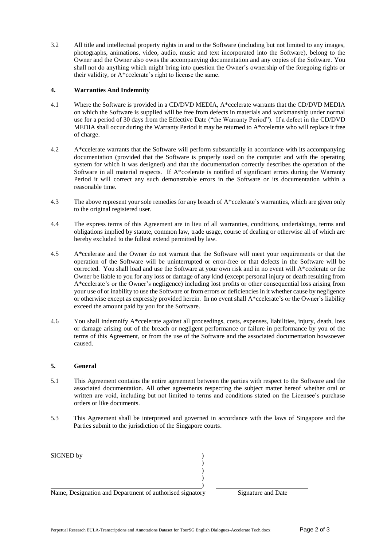3.2 All title and intellectual property rights in and to the Software (including but not limited to any images, photographs, animations, video, audio, music and text incorporated into the Software), belong to the Owner and the Owner also owns the accompanying documentation and any copies of the Software. You shall not do anything which might bring into question the Owner's ownership of the foregoing rights or their validity, or A\*ccelerate's right to license the same.

## **4. Warranties And Indemnity**

- 4.1 Where the Software is provided in a CD/DVD MEDIA, A\*ccelerate warrants that the CD/DVD MEDIA on which the Software is supplied will be free from defects in materials and workmanship under normal use for a period of 30 days from the Effective Date ("the Warranty Period"). If a defect in the CD/DVD MEDIA shall occur during the Warranty Period it may be returned to A\*ccelerate who will replace it free of charge.
- 4.2 A\*ccelerate warrants that the Software will perform substantially in accordance with its accompanying documentation (provided that the Software is properly used on the computer and with the operating system for which it was designed) and that the documentation correctly describes the operation of the Software in all material respects. If A\*ccelerate is notified of significant errors during the Warranty Period it will correct any such demonstrable errors in the Software or its documentation within a reasonable time.
- 4.3 The above represent your sole remedies for any breach of A\*ccelerate's warranties, which are given only to the original registered user.
- 4.4 The express terms of this Agreement are in lieu of all warranties, conditions, undertakings, terms and obligations implied by statute, common law, trade usage, course of dealing or otherwise all of which are hereby excluded to the fullest extend permitted by law.
- 4.5 A\*ccelerate and the Owner do not warrant that the Software will meet your requirements or that the operation of the Software will be uninterrupted or error-free or that defects in the Software will be corrected. You shall load and use the Software at your own risk and in no event will A\*ccelerate or the Owner be liable to you for any loss or damage of any kind (except personal injury or death resulting from A\*ccelerate's or the Owner's negligence) including lost profits or other consequential loss arising from your use of or inability to use the Software or from errors or deficiencies in it whether cause by negligence or otherwise except as expressly provided herein. In no event shall A\*ccelerate's or the Owner's liability exceed the amount paid by you for the Software.
- 4.6 You shall indemnify A\*ccelerate against all proceedings, costs, expenses, liabilities, injury, death, loss or damage arising out of the breach or negligent performance or failure in performance by you of the terms of this Agreement, or from the use of the Software and the associated documentation howsoever caused.

### **5. General**

- 5.1 This Agreement contains the entire agreement between the parties with respect to the Software and the associated documentation. All other agreements respecting the subject matter hereof whether oral or written are void, including but not limited to terms and conditions stated on the Licensee's purchase orders or like documents.
- 5.3 This Agreement shall be interpreted and governed in accordance with the laws of Singapore and the Parties submit to the jurisdiction of the Singapore courts.

| SIGNED by                                                |                    |
|----------------------------------------------------------|--------------------|
|                                                          |                    |
|                                                          |                    |
|                                                          |                    |
|                                                          |                    |
| Name, Designation and Department of authorised signatory | Signature and Date |